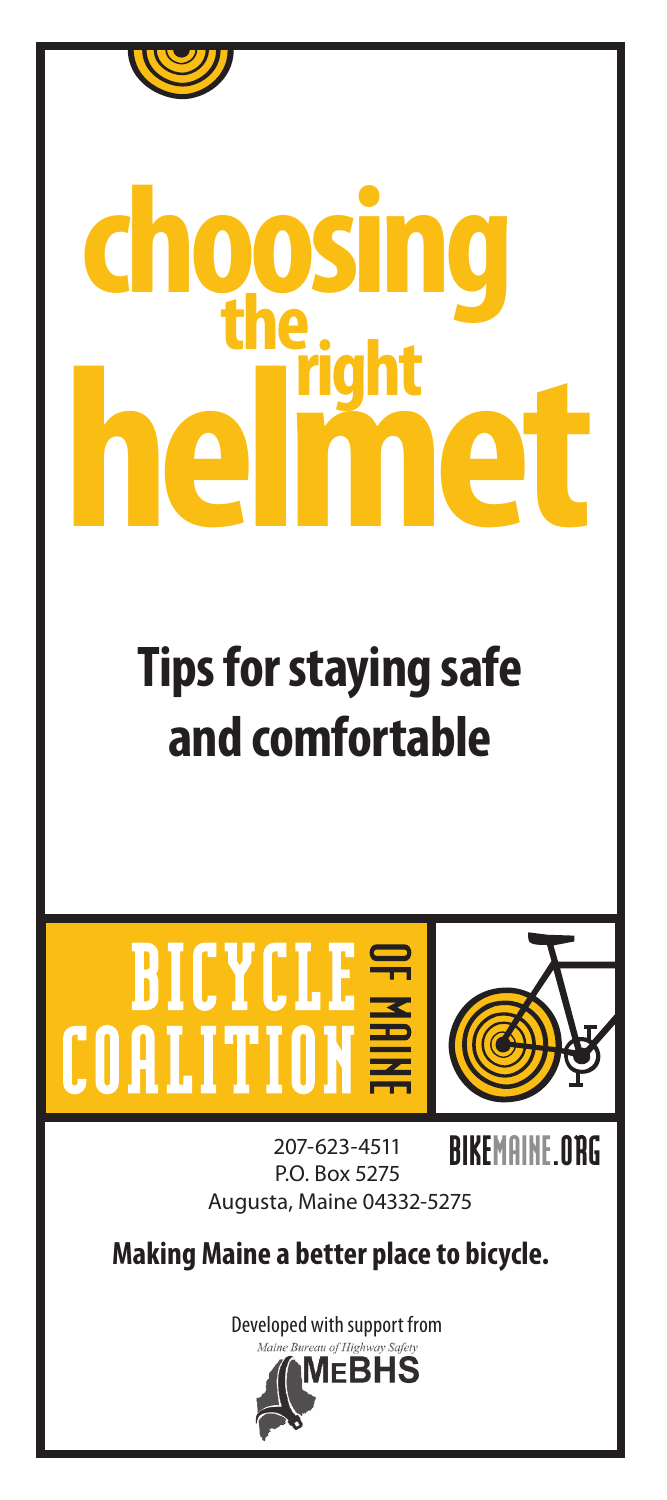

## **helmet choosing the right**

## **Tips for staying safe and comfortable**



BIKEMAINE.ORG 207-623-4511 P.O. Box 5275 Augusta, Maine 04332-5275

**Making Maine a better place to bicycle.**

Developed with support from